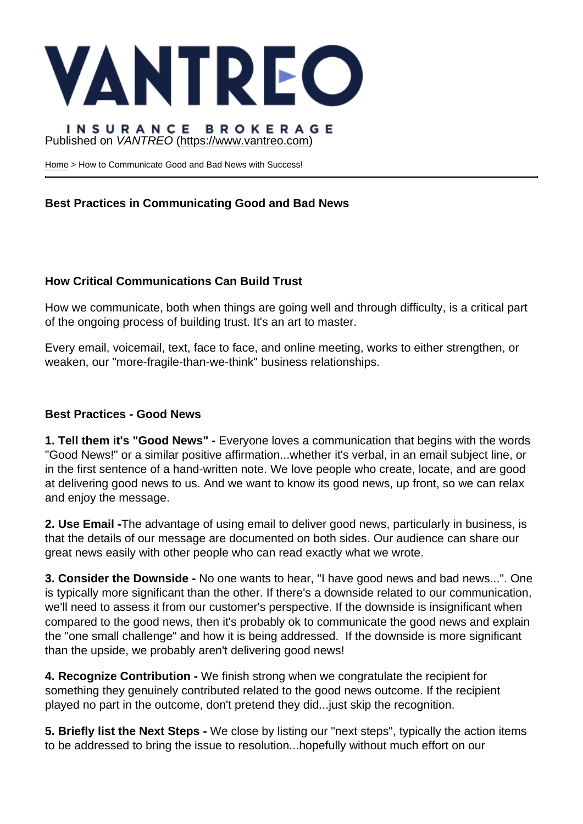## Published on VANTREO [\(https://www.vantreo.com](https://www.vantreo.com))

[Home](https://www.vantreo.com/) > How to Communicate Good and Bad News with Success!

Best Practices in Communicating Good and Bad News

How Critical Communications Can Build Trust

How we communicate, both when things are going well and through difficulty, is a critical part of the ongoing process of building trust. It's an art to master.

Every email, voicemail, text, face to face, and online meeting, works to either strengthen, or weaken, our "more-fragile-than-we-think" business relationships.

Best Practices - Good News

1. Tell them it's "Good News" - Everyone loves a communication that begins with the words "Good News!" or a similar positive affirmation...whether it's verbal, in an email subject line, or in the first sentence of a hand-written note. We love people who create, locate, and are good at delivering good news to us. And we want to know its good news, up front, so we can relax and enjoy the message.

2. Use Email - The advantage of using email to deliver good news, particularly in business, is that the details of our message are documented on both sides. Our audience can share our great news easily with other people who can read exactly what we wrote.

3. Consider the Downside - No one wants to hear, "I have good news and bad news...". One is typically more significant than the other. If there's a downside related to our communication, we'll need to assess it from our customer's perspective. If the downside is insignificant when compared to the good news, then it's probably ok to communicate the good news and explain the "one small challenge" and how it is being addressed. If the downside is more significant than the upside, we probably aren't delivering good news!

4. Recognize Contribution - We finish strong when we congratulate the recipient for something they genuinely contributed related to the good news outcome. If the recipient played no part in the outcome, don't pretend they did...just skip the recognition.

5. Briefly list the Next Steps - We close by listing our "next steps", typically the action items to be addressed to bring the issue to resolution...hopefully without much effort on our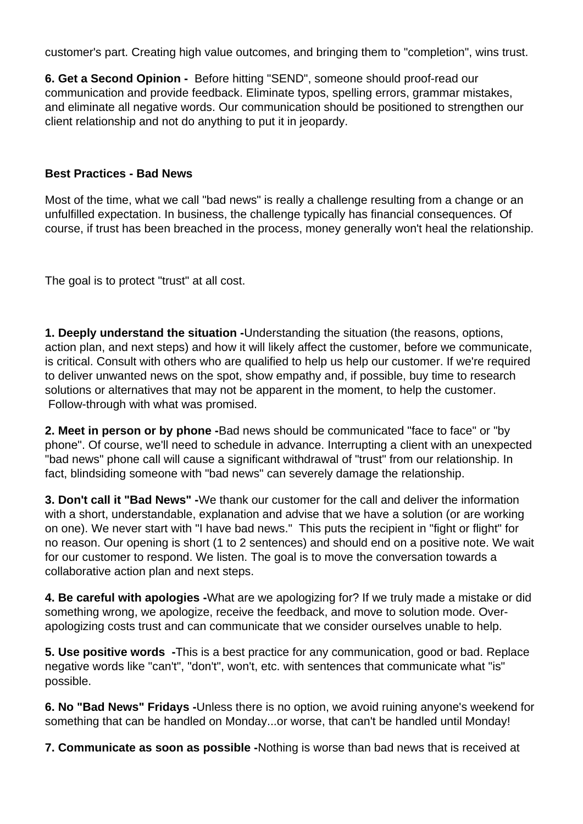customer's part. Creating high value outcomes, and bringing them to "completion", wins trust.

**6. Get a Second Opinion -** Before hitting "SEND", someone should proof-read our communication and provide feedback. Eliminate typos, spelling errors, grammar mistakes, and eliminate all negative words. Our communication should be positioned to strengthen our client relationship and not do anything to put it in jeopardy.

### **Best Practices - Bad News**

Most of the time, what we call "bad news" is really a challenge resulting from a change or an unfulfilled expectation. In business, the challenge typically has financial consequences. Of course, if trust has been breached in the process, money generally won't heal the relationship.

The goal is to protect "trust" at all cost.

**1. Deeply understand the situation -**Understanding the situation (the reasons, options, action plan, and next steps) and how it will likely affect the customer, before we communicate, is critical. Consult with others who are qualified to help us help our customer. If we're required to deliver unwanted news on the spot, show empathy and, if possible, buy time to research solutions or alternatives that may not be apparent in the moment, to help the customer. Follow-through with what was promised.

**2. Meet in person or by phone -**Bad news should be communicated "face to face" or "by phone". Of course, we'll need to schedule in advance. Interrupting a client with an unexpected "bad news" phone call will cause a significant withdrawal of "trust" from our relationship. In fact, blindsiding someone with "bad news" can severely damage the relationship.

**3. Don't call it "Bad News" -**We thank our customer for the call and deliver the information with a short, understandable, explanation and advise that we have a solution (or are working on one). We never start with "I have bad news." This puts the recipient in "fight or flight" for no reason. Our opening is short (1 to 2 sentences) and should end on a positive note. We wait for our customer to respond. We listen. The goal is to move the conversation towards a collaborative action plan and next steps.

**4. Be careful with apologies -**What are we apologizing for? If we truly made a mistake or did something wrong, we apologize, receive the feedback, and move to solution mode. Overapologizing costs trust and can communicate that we consider ourselves unable to help.

**5. Use positive words -**This is a best practice for any communication, good or bad. Replace negative words like "can't", "don't", won't, etc. with sentences that communicate what "is" possible.

**6. No "Bad News" Fridays -**Unless there is no option, we avoid ruining anyone's weekend for something that can be handled on Monday...or worse, that can't be handled until Monday!

**7. Communicate as soon as possible -**Nothing is worse than bad news that is received at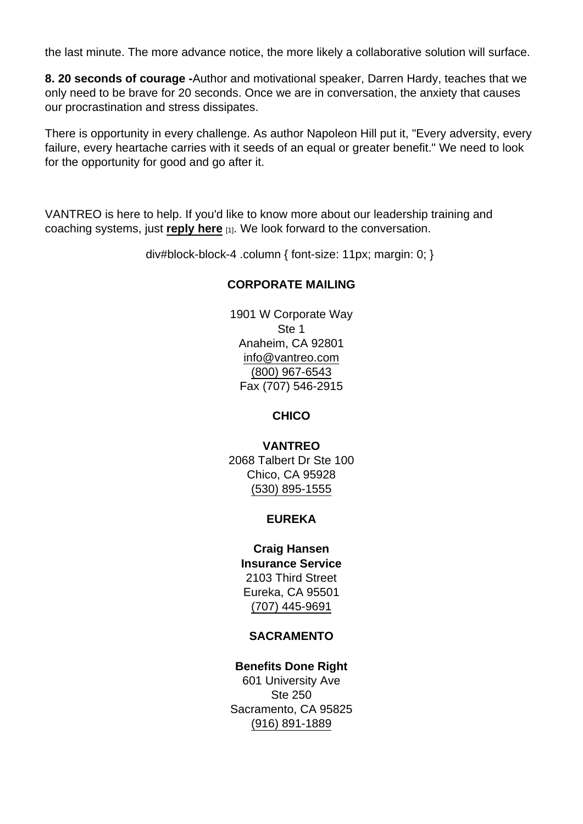the last minute. The more advance notice, the more likely a collaborative solution will surface.

8. 20 seconds of courage - Author and motivational speaker, Darren Hardy, teaches that we only need to be brave for 20 seconds. Once we are in conversation, the anxiety that causes our procrastination and stress dissipates.

There is opportunity in every challenge. As author Napoleon Hill put it, "Every adversity, every failure, every heartache carries with it seeds of an equal or greater benefit." We need to look for the opportunity for good and go after it.

VANTREO is here to help. If you'd like to know more about our leadership training and coaching systems, just [reply here](mailto:executiveservices@vantreo.com?subject=Leadership and Coaching Information) [1]. We look forward to the conversation.

div#block-block-4 .column { font-size: 11px; margin: 0; }

#### CORPORATE MAILING

1901 W Corporate Way Ste 1 Anaheim, CA 92801 [info@vantreo.com](mailto:info@vantreo.com) [\(800\) 967-6543](tel:1-800-967-6543) Fax (707) 546-2915

**CHICO** 

VANTREO 2068 Talbert Dr Ste 100 Chico, CA 95928 [\(530\) 895-1555](tel:530-895-1555)

# EUREKA

Craig Hansen Insurance Service 2103 Third Street Eureka, CA 95501 [\(707\) 445-9691](tel:707-445-9691)

#### SACRAMENTO

Benefits Done Right 601 University Ave Ste 250 Sacramento, CA 95825 [\(916\) 891-1889](tel:916-891-1889)